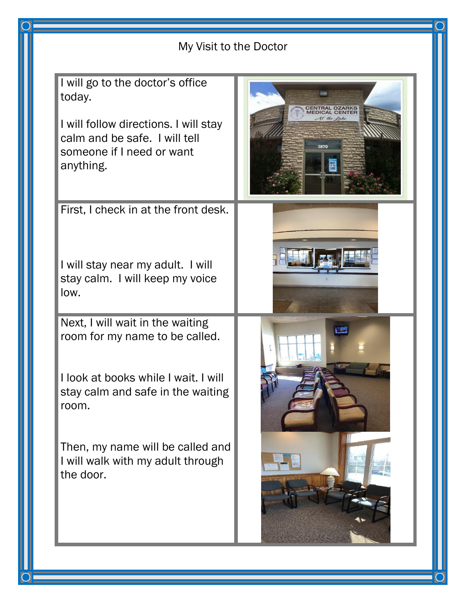| My Visit to the Doctor                                                                                                                                                                                                                         |                                                |
|------------------------------------------------------------------------------------------------------------------------------------------------------------------------------------------------------------------------------------------------|------------------------------------------------|
| I will go to the doctor's office<br>today.<br>I will follow directions. I will stay<br>calm and be safe. I will tell<br>someone if I need or want<br>anything.                                                                                 | <b>CENTRAL OZARKS</b><br><b>IEDICAL CENTEI</b> |
| First, I check in at the front desk.<br>I will stay near my adult. I will<br>stay calm. I will keep my voice<br>low.                                                                                                                           |                                                |
| Next, I will wait in the waiting<br>room for my name to be called.<br>I look at books while I wait. I will<br>stay calm and safe in the waiting<br>room.<br>Then, my name will be called and<br>I will walk with my adult through<br>the door. |                                                |

 $\overline{O}$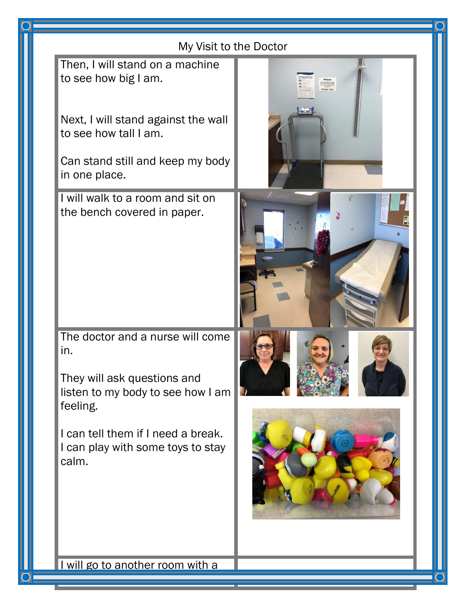